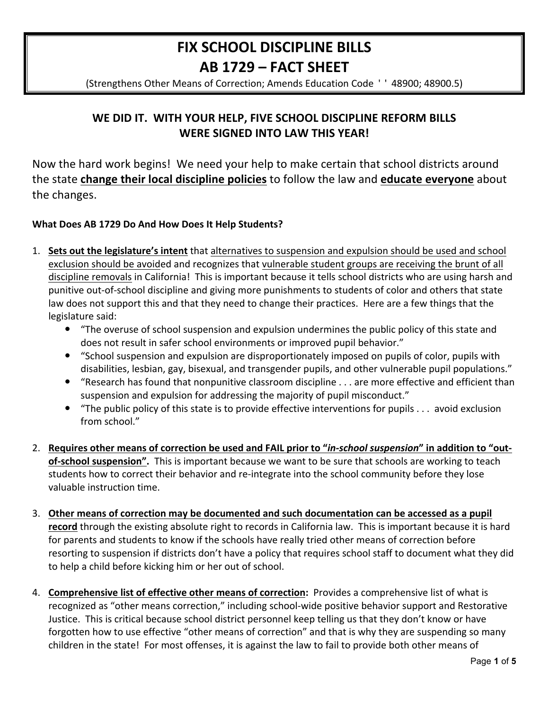# FIX SCHOOL DISCIPLINE BILLS AB 1729 - FACT SHEET

(Strengthens Other Means of Correction; Amends Education Code '' 48900; 48900.5)

## WE DID IT. WITH YOUR HELP, FIVE SCHOOL DISCIPLINE REFORM BILLS **WERE SIGNED INTO LAW THIS YEAR!**

Now the hard work begins! We need your help to make certain that school districts around the state change their local discipline policies to follow the law and educate everyone about the changes.

### What Does AB 1729 Do And How Does It Help Students?

- 1. Sets out the legislature's intent that alternatives to suspension and expulsion should be used and school exclusion should be avoided and recognizes that vulnerable student groups are receiving the brunt of all discipline removals in California! This is important because it tells school districts who are using harsh and punitive out-of-school discipline and giving more punishments to students of color and others that state law does not support this and that they need to change their practices. Here are a few things that the legislature said:
	- "The overuse of school suspension and expulsion undermines the public policy of this state and does not result in safer school environments or improved pupil behavior."
	- "School suspension and expulsion are disproportionately imposed on pupils of color, pupils with disabilities, lesbian, gay, bisexual, and transgender pupils, and other vulnerable pupil populations."
	- "Research has found that nonpunitive classroom discipline . . . are more effective and efficient than suspension and expulsion for addressing the majority of pupil misconduct."
	- "The public policy of this state is to provide effective interventions for pupils . . . avoid exclusion from school."
- 2. Requires other means of correction be used and FAIL prior to "in-school suspension" in addition to "outof-school suspension". This is important because we want to be sure that schools are working to teach students how to correct their behavior and re-integrate into the school community before they lose valuable instruction time.
- 3. Other means of correction may be documented and such documentation can be accessed as a pupil record through the existing absolute right to records in California law. This is important because it is hard for parents and students to know if the schools have really tried other means of correction before resorting to suspension if districts don't have a policy that requires school staff to document what they did to help a child before kicking him or her out of school.
- 4. Comprehensive list of effective other means of correction: Provides a comprehensive list of what is recognized as "other means correction," including school-wide positive behavior support and Restorative Justice. This is critical because school district personnel keep telling us that they don't know or have forgotten how to use effective "other means of correction" and that is why they are suspending so many children in the state! For most offenses, it is against the law to fail to provide both other means of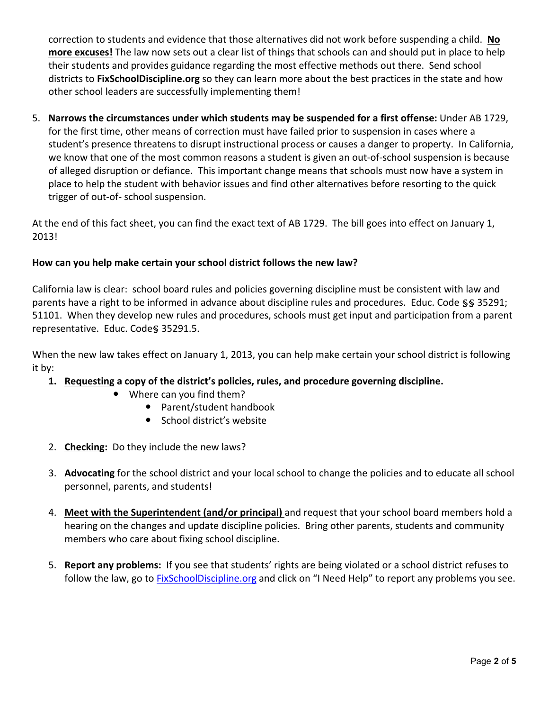correction to students and evidence that those alternatives did not work before suspending a child. No **more excuses!** The law now sets out a clear list of things that schools can and should put in place to help their students and provides guidance regarding the most effective methods out there. Send school districts to FixSchoolDiscipline.org so they can learn more about the best practices in the state and how other school leaders are successfully implementing them!

5. Narrows the circumstances under which students may be suspended for a first offense: Under AB 1729, for the first time, other means of correction must have failed prior to suspension in cases where a student's presence threatens to disrupt instructional process or causes a danger to property. In California, we know that one of the most common reasons a student is given an out-of-school suspension is because of alleged disruption or defiance. This important change means that schools must now have a system in place to help the student with behavior issues and find other alternatives before resorting to the quick trigger of out-of- school suspension.

At the end of this fact sheet, you can find the exact text of AB 1729. The bill goes into effect on January 1, 2013!

### How can you help make certain your school district follows the new law?

California law is clear: school board rules and policies governing discipline must be consistent with law and parents have a right to be informed in advance about discipline rules and procedures. Educ. Code §§ 35291; 51101. When they develop new rules and procedures, schools must get input and participation from a parent representative. Educ. Code§ 35291.5.

When the new law takes effect on January 1, 2013, you can help make certain your school district is following it by:

- **1.** Requesting a copy of the district's policies, rules, and procedure governing discipline.
	- Where can you find them?
		- Parent/student handbook
		- School district's website
- 2. **Checking:** Do they include the new laws?
- 3. Advocating for the school district and your local school to change the policies and to educate all school personnel, parents, and students!
- 4. **Meet with the Superintendent (and/or principal)** and request that your school board members hold a hearing on the changes and update discipline policies. Bring other parents, students and community members who care about fixing school discipline.
- 5. **Report any problems:** If you see that students' rights are being violated or a school district refuses to follow the law, go to FixSchoolDiscipline.org and click on "I Need Help" to report any problems you see.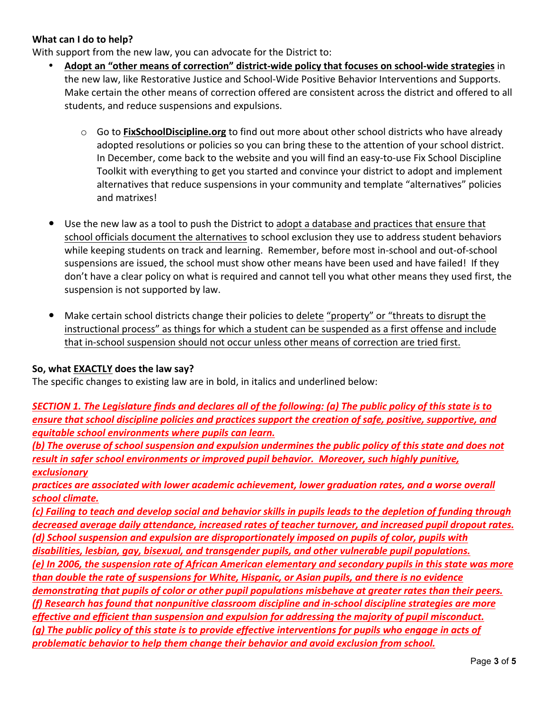#### **What can I do to help?**

With support from the new law, you can advocate for the District to:

- Adopt an "other means of correction" district-wide policy that focuses on school-wide strategies in the new law, like Restorative Justice and School-Wide Positive Behavior Interventions and Supports. Make certain the other means of correction offered are consistent across the district and offered to all students, and reduce suspensions and expulsions.
	- $\circ$  Go to **FixSchoolDiscipline.org** to find out more about other school districts who have already adopted resolutions or policies so you can bring these to the attention of your school district. In December, come back to the website and you will find an easy-to-use Fix School Discipline Toolkit with everything to get you started and convince your district to adopt and implement alternatives that reduce suspensions in your community and template "alternatives" policies and matrixes!
- Use the new law as a tool to push the District to adopt a database and practices that ensure that school officials document the alternatives to school exclusion they use to address student behaviors while keeping students on track and learning. Remember, before most in-school and out-of-school suspensions are issued, the school must show other means have been used and have failed! If they don't have a clear policy on what is required and cannot tell you what other means they used first, the suspension is not supported by law.
- Make certain school districts change their policies to delete "property" or "threats to disrupt the instructional process" as things for which a student can be suspended as a first offense and include that in-school suspension should not occur unless other means of correction are tried first.

#### **So, what EXACTLY does the law say?**

The specific changes to existing law are in bold, in italics and underlined below:

*SECTION 1. The Legislature finds and declares all of the following: (a) The public policy of this state is to* ensure that school discipline policies and practices support the creation of safe, positive, supportive, and *equitable)school)environments)where)pupils)can)learn.*

*(b) The overuse of school suspension and expulsion undermines the public policy of this state and does not* result in safer school environments or improved pupil behavior. Moreover, such highly punitive, *exclusionary*

*practices)are)associated)with)lower)academic)achievement,)lower)graduation)rates,)and)a)worse)overall)* school climate.

*(c))Failing)to)teach)and)develop)social)and)behavior)skills)in)pupils)leads)to)the)depletion)of)funding)through)* decreased average daily attendance, increased rates of teacher turnover, and increased pupil dropout rates. *(d)* School suspension and expulsion are disproportionately imposed on pupils of color, pupils with disabilities, lesbian, gay, bisexual, and transgender pupils, and other vulnerable pupil populations. *(e))In)2006,)the)suspension)rate)of)African)American)elementary)and)secondary)pupils)in)this)state)was)more) than double the rate of suspensions for White, Hispanic, or Asian pupils, and there is no evidence* demonstrating that pupils of color or other pupil populations misbehave at greater rates than their peers. *(f))Research)has)found)that)nonpunitive)classroom)discipline)and)in#school)discipline)strategies)are)more)* effective and efficient than suspension and expulsion for addressing the majority of pupil misconduct. *(g) The public policy of this state is to provide effective interventions for pupils who engage in acts of problematic)behavior)to)help)them)change)their)behavior)and)avoid)exclusion)from)school.*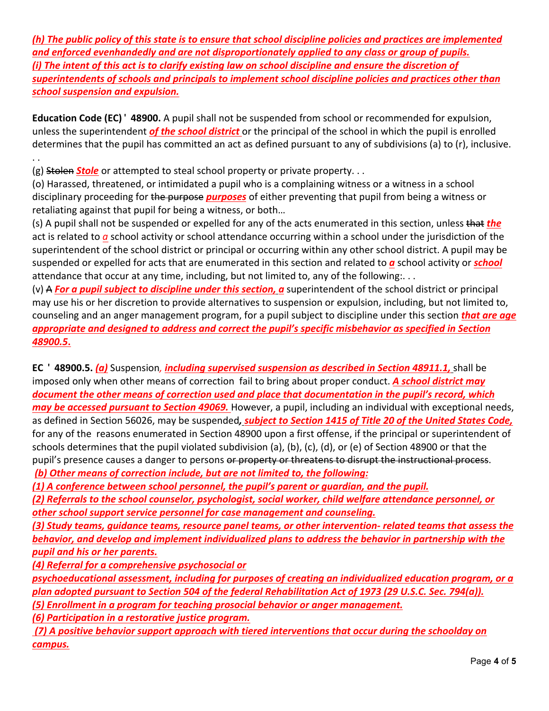*(h) The public policy of this state is to ensure that school discipline policies and practices are implemented and)enforced)evenhandedly)and)are)not)disproportionately)applied)to)any)class)or)group)of)pupils. (i) The intent of this act is to clarify existing law on school discipline and ensure the discretion of superintendents of schools and principals to implement school discipline policies and practices other than school)suspension)and)expulsion.*

**Education Code (EC)<sup>'</sup> 48900.** A pupil shall not be suspended from school or recommended for expulsion, unless the superintendent *of the school district* or the principal of the school in which the pupil is enrolled determines that the pupil has committed an act as defined pursuant to any of subdivisions (a) to (r), inclusive. .!.!

(g) Stolen *Stole* or attempted to steal school property or private property...

(o) Harassed, threatened, or intimidated a pupil who is a complaining witness or a witness in a school disciplinary proceeding for the purpose *purposes* of either preventing that pupil from being a witness or retaliating against that pupil for being a witness, or both...

(s) A pupil shall not be suspended or expelled for any of the acts enumerated in this section, unless that *the* act is related to *a* school activity or school attendance occurring within a school under the jurisdiction of the superintendent of the school district or principal or occurring within any other school district. A pupil may be suspended or expelled for acts that are enumerated in this section and related to **a** school activity or **school** attendance that occur at any time, including, but not limited to, any of the following:...

(v) A **For a pupil subject to discipline under this section, a** superintendent of the school district or principal may use his or her discretion to provide alternatives to suspension or expulsion, including, but not limited to, counseling and an anger management program, for a pupil subject to discipline under this section *that are age* appropriate and designed to address and correct the pupil's specific misbehavior as specified in Section *48900.5***.**

**EC ' 48900.5.** *(a)* Suspension, *including supervised suspension as described in Section 48911.1, shall be* imposed only when other means of correction fail to bring about proper conduct. **A school district may** document the other means of correction used and place that documentation in the pupil's record, which *may be accessed pursuant to Section 49069.* However, a pupil, including an individual with exceptional needs, as defined in Section 56026, may be suspended, *subject to Section 1415 of Title 20 of the United States Code*, for any of the reasons enumerated in Section 48900 upon a first offense, if the principal or superintendent of schools determines that the pupil violated subdivision (a), (b), (c), (d), or (e) of Section 48900 or that the pupil's presence causes a danger to persons or property or threatens to disrupt the instructional process. *(b)* Other means of correction include, but are not limited to, the following:

*(1) A conference between school personnel, the pupil's parent or guardian, and the pupil.* 

*(2))Referrals)to)the)school)counselor,)psychologist,)social)worker,)child)welfare)attendance personnel,)or) other)school)support)service)personnel)for)case)management)and)counseling.*

*(3))Study)teams,)guidance)teams,)resource)panel)teams,)or)other)intervention# related)teams)that)assess)the)* behavior, and develop and implement individualized plans to address the behavior in partnership with the *pupil)and)his)or)her)parents.*

*(4) Referral for a comprehensive psychosocial or* 

psychoeducational assessment, including for purposes of creating an individualized education program, or a *plan adopted pursuant to Section 504 of the federal Rehabilitation Act of 1973 (29 U.S.C. Sec. 794(a)). (5))Enrollment)in)a)program)for)teaching)prosocial)behavior)or anger)management.*

*(6) Participation in a restorative justice program.* 

*(7))A)positive)behavior)support)approach)with)tiered)interventions)that)occur)during)the)schoolday)on) campus.*